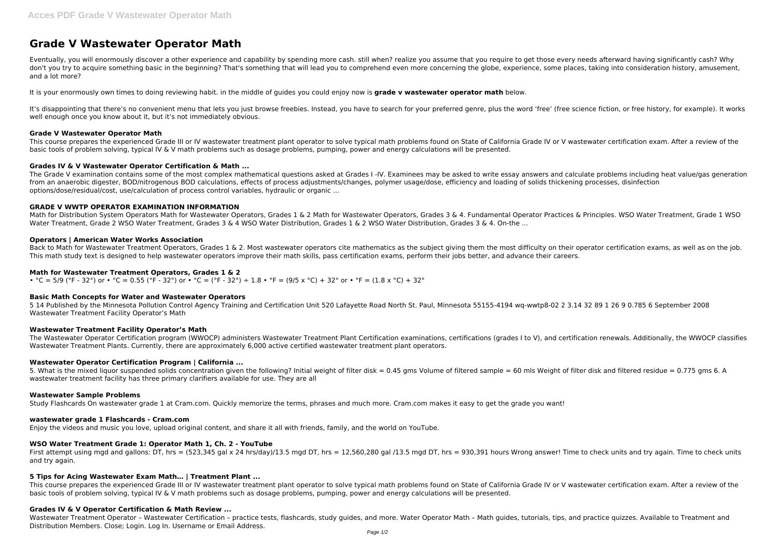# **Grade V Wastewater Operator Math**

Eventually, you will enormously discover a other experience and capability by spending more cash. still when? realize you assume that you require to get those every needs afterward having significantly cash? Why don't you try to acquire something basic in the beginning? That's something that will lead you to comprehend even more concerning the globe, experience, some places, taking into consideration history, amusement, and a lot more?

It's disappointing that there's no convenient menu that lets you just browse freebies. Instead, you have to search for your preferred genre, plus the word 'free' (free science fiction, or free history, for example). It wor well enough once you know about it, but it's not immediately obvious.

It is your enormously own times to doing reviewing habit. in the middle of guides you could enjoy now is **grade v wastewater operator math** below.

The Grade V examination contains some of the most complex mathematical questions asked at Grades I-IV. Examinees may be asked to write essay answers and calculate problems including heat value/gas generation from an anaerobic digester, BOD/nitrogenous BOD calculations, effects of process adjustments/changes, polymer usage/dose, efficiency and loading of solids thickening processes, disinfection options/dose/residual/cost, use/calculation of process control variables, hydraulic or organic ...

#### **Grade V Wastewater Operator Math**

This course prepares the experienced Grade III or IV wastewater treatment plant operator to solve typical math problems found on State of California Grade IV or V wastewater certification exam. After a review of the basic tools of problem solving, typical IV & V math problems such as dosage problems, pumping, power and energy calculations will be presented.

Back to Math for Wastewater Treatment Operators, Grades 1 & 2. Most wastewater operators cite mathematics as the subject giving them the most difficulty on their operator certification exams, as well as on the job. This math study text is designed to help wastewater operators improve their math skills, pass certification exams, perform their jobs better, and advance their careers.

#### **Grades IV & V Wastewater Operator Certification & Math ...**

The Wastewater Operator Certification program (WWOCP) administers Wastewater Treatment Plant Certification examinations, certifications (grades I to V), and certification renewals. Additionally, the WWOCP classifies Wastewater Treatment Plants. Currently, there are approximately 6,000 active certified wastewater treatment plant operators.

#### **GRADE V WWTP OPERATOR EXAMINATION INFORMATION**

Math for Distribution System Operators Math for Wastewater Operators, Grades 1 & 2 Math for Wastewater Operators, Grades 3 & 4. Fundamental Operator Practices & Principles. WSO Water Treatment, Grade 1 WSO Water Treatment, Grade 2 WSO Water Treatment, Grades 3 & 4 WSO Water Distribution, Grades 1 & 2 WSO Water Distribution, Grades 3 & 4. On-the ...

First attempt using mgd and gallons: DT, hrs = (523,345 gal x 24 hrs/day)/13.5 mgd DT, hrs = 12,560,280 gal /13.5 mgd DT, hrs = 930,391 hours Wrong answer! Time to check units and try again. Time to check units and try again.

### **Operators | American Water Works Association**

This course prepares the experienced Grade III or IV wastewater treatment plant operator to solve typical math problems found on State of California Grade IV or V wastewater certification exam. After a review of the basic tools of problem solving, typical IV & V math problems such as dosage problems, pumping, power and energy calculations will be presented.

Wastewater Treatment Operator - Wastewater Certification - practice tests, flashcards, study quides, and more. Water Operator Math - Math quides, tutorials, tips, and practice quizzes. Available to Treatment and Distribution Members. Close; Login. Log In. Username or Email Address.

#### **Math for Wastewater Treatment Operators, Grades 1 & 2**

• °C = 5/9 (°F - 32°) or • °C = 0.55 (°F - 32°) or • °C = (°F - 32°) ÷ 1.8 • °F = (9/5 x °C) + 32° or • °F = (1.8 x °C) + 32°

#### **Basic Math Concepts for Water and Wastewater Operators**

5 14 Published by the Minnesota Pollution Control Agency Training and Certification Unit 520 Lafayette Road North St. Paul, Minnesota 55155-4194 wq-wwtp8-02 2 3.14 32 89 1 26 9 0.785 6 September 2008 Wastewater Treatment Facility Operator's Math

#### **Wastewater Treatment Facility Operator's Math**

#### **Wastewater Operator Certification Program | California ...**

5. What is the mixed liquor suspended solids concentration given the following? Initial weight of filter disk = 0.45 gms Volume of filtered sample = 60 mls Weight of filter disk and filtered residue = 0.775 gms 6. A wastewater treatment facility has three primary clarifiers available for use. They are all

#### **Wastewater Sample Problems**

Study Flashcards On wastewater grade 1 at Cram.com. Quickly memorize the terms, phrases and much more. Cram.com makes it easy to get the grade you want!

#### **wastewater grade 1 Flashcards - Cram.com**

Enjoy the videos and music you love, upload original content, and share it all with friends, family, and the world on YouTube.

#### **WSO Water Treatment Grade 1: Operator Math 1, Ch. 2 - YouTube**

## **5 Tips for Acing Wastewater Exam Math… | Treatment Plant ...**

#### **Grades IV & V Operator Certification & Math Review ...**